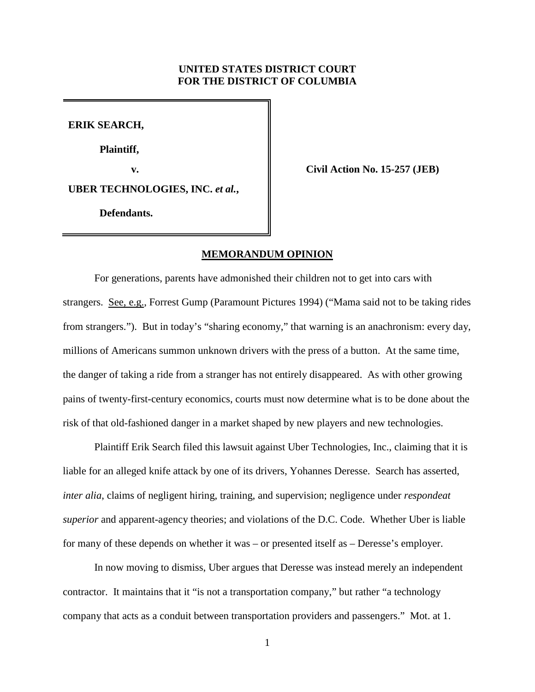# **UNITED STATES DISTRICT COURT FOR THE DISTRICT OF COLUMBIA**

**ERIK SEARCH,**

**Plaintiff,**

**v. Civil Action No. 15-257 (JEB)**

**UBER TECHNOLOGIES, INC.** *et al.***,**

**Defendants.**

## **MEMORANDUM OPINION**

For generations, parents have admonished their children not to get into cars with strangers. See, e.g., Forrest Gump (Paramount Pictures 1994) ("Mama said not to be taking rides from strangers."). But in today's "sharing economy," that warning is an anachronism: every day, millions of Americans summon unknown drivers with the press of a button. At the same time, the danger of taking a ride from a stranger has not entirely disappeared. As with other growing pains of twenty-first-century economics, courts must now determine what is to be done about the risk of that old-fashioned danger in a market shaped by new players and new technologies.

Plaintiff Erik Search filed this lawsuit against Uber Technologies, Inc., claiming that it is liable for an alleged knife attack by one of its drivers, Yohannes Deresse. Search has asserted, *inter alia*, claims of negligent hiring, training, and supervision; negligence under *respondeat superior* and apparent-agency theories; and violations of the D.C. Code. Whether Uber is liable for many of these depends on whether it was – or presented itself as – Deresse's employer.

In now moving to dismiss, Uber argues that Deresse was instead merely an independent contractor. It maintains that it "is not a transportation company," but rather "a technology company that acts as a conduit between transportation providers and passengers." Mot. at 1.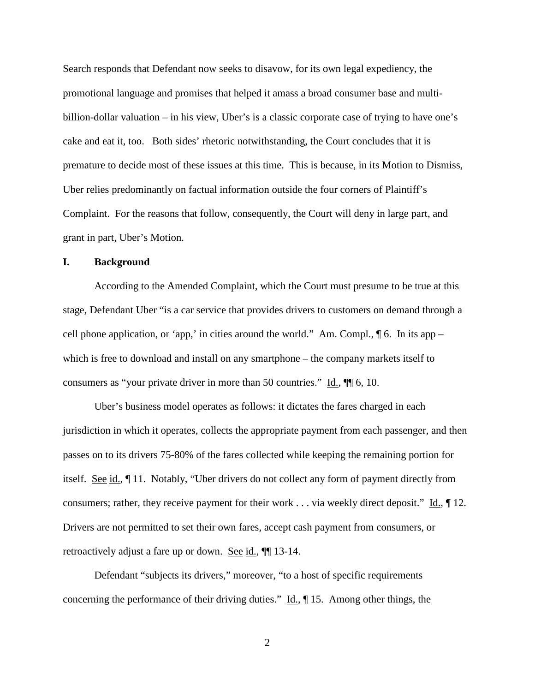Search responds that Defendant now seeks to disavow, for its own legal expediency, the promotional language and promises that helped it amass a broad consumer base and multibillion-dollar valuation – in his view, Uber's is a classic corporate case of trying to have one's cake and eat it, too. Both sides' rhetoric notwithstanding, the Court concludes that it is premature to decide most of these issues at this time. This is because, in its Motion to Dismiss, Uber relies predominantly on factual information outside the four corners of Plaintiff's Complaint. For the reasons that follow, consequently, the Court will deny in large part, and grant in part, Uber's Motion.

## **I. Background**

According to the Amended Complaint, which the Court must presume to be true at this stage, Defendant Uber "is a car service that provides drivers to customers on demand through a cell phone application, or 'app,' in cities around the world." Am. Compl.,  $\P$  6. In its app – which is free to download and install on any smartphone – the company markets itself to consumers as "your private driver in more than 50 countries."  $\underline{Id}$ ,  $\P$  6, 10.

Uber's business model operates as follows: it dictates the fares charged in each jurisdiction in which it operates, collects the appropriate payment from each passenger, and then passes on to its drivers 75-80% of the fares collected while keeping the remaining portion for itself. See id., ¶ 11. Notably, "Uber drivers do not collect any form of payment directly from consumers; rather, they receive payment for their work . . . via weekly direct deposit."  $\underline{Id}$ ,  $\P$  12. Drivers are not permitted to set their own fares, accept cash payment from consumers, or retroactively adjust a fare up or down. See id.,  $\P$  13-14.

Defendant "subjects its drivers," moreover, "to a host of specific requirements concerning the performance of their driving duties."  $\underline{Id}$ ,  $\P$  15. Among other things, the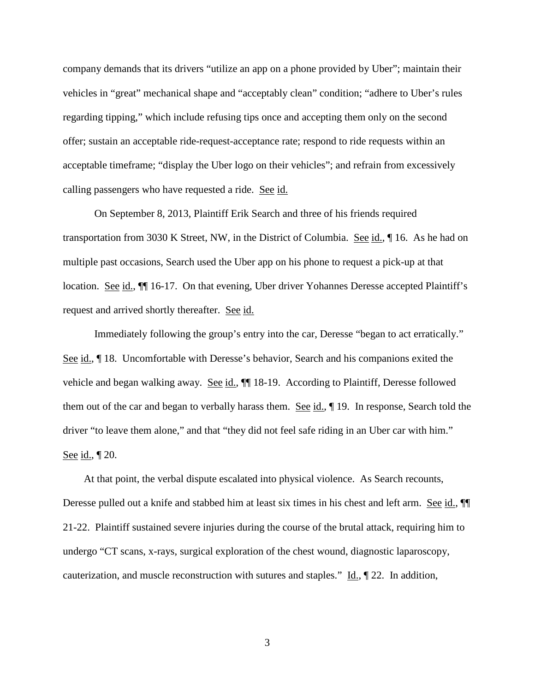company demands that its drivers "utilize an app on a phone provided by Uber"; maintain their vehicles in "great" mechanical shape and "acceptably clean" condition; "adhere to Uber's rules regarding tipping," which include refusing tips once and accepting them only on the second offer; sustain an acceptable ride-request-acceptance rate; respond to ride requests within an acceptable timeframe; "display the Uber logo on their vehicles"; and refrain from excessively calling passengers who have requested a ride. See id.

On September 8, 2013, Plaintiff Erik Search and three of his friends required transportation from 3030 K Street, NW, in the District of Columbia. See id.,  $\P$  16. As he had on multiple past occasions, Search used the Uber app on his phone to request a pick-up at that location. See id.,  $\P$  16-17. On that evening, Uber driver Yohannes Deresse accepted Plaintiff's request and arrived shortly thereafter. See id.

Immediately following the group's entry into the car, Deresse "began to act erratically." See id.,  $\P$  18. Uncomfortable with Deresse's behavior, Search and his companions exited the vehicle and began walking away. See id.,  $\P$  18-19. According to Plaintiff, Deresse followed them out of the car and began to verbally harass them. See id., 19. In response, Search told the driver "to leave them alone," and that "they did not feel safe riding in an Uber car with him." See id., ¶ 20.

 At that point, the verbal dispute escalated into physical violence. As Search recounts, Deresse pulled out a knife and stabbed him at least six times in his chest and left arm. See id.,  $\P$ 21-22. Plaintiff sustained severe injuries during the course of the brutal attack, requiring him to undergo "CT scans, x-rays, surgical exploration of the chest wound, diagnostic laparoscopy, cauterization, and muscle reconstruction with sutures and staples."  $\underline{Id}$ ,  $\P$  22. In addition,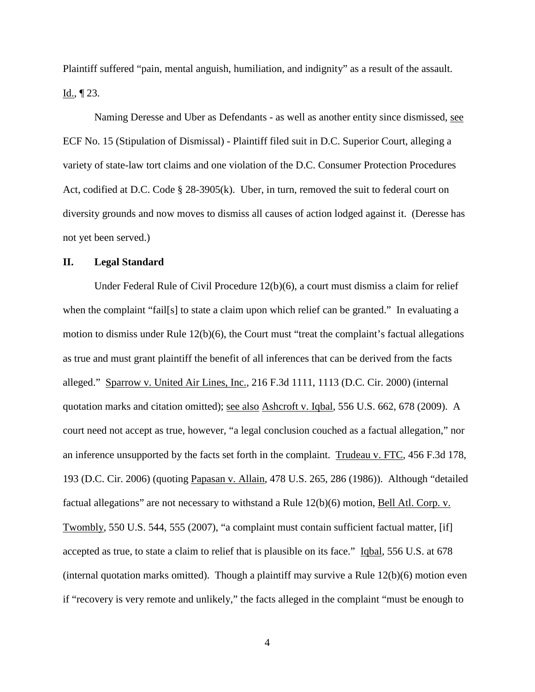Plaintiff suffered "pain, mental anguish, humiliation, and indignity" as a result of the assault. Id., ¶ 23.

Naming Deresse and Uber as Defendants - as well as another entity since dismissed, see ECF No. 15 (Stipulation of Dismissal) - Plaintiff filed suit in D.C. Superior Court, alleging a variety of state-law tort claims and one violation of the D.C. Consumer Protection Procedures Act, codified at D.C. Code § 28-3905(k). Uber, in turn, removed the suit to federal court on diversity grounds and now moves to dismiss all causes of action lodged against it. (Deresse has not yet been served.)

### **II. Legal Standard**

Under Federal Rule of Civil Procedure  $12(b)(6)$ , a court must dismiss a claim for relief when the complaint "fail[s] to state a claim upon which relief can be granted." In evaluating a motion to dismiss under Rule 12(b)(6), the Court must "treat the complaint's factual allegations as true and must grant plaintiff the benefit of all inferences that can be derived from the facts alleged." Sparrow v. United Air Lines, Inc., 216 F.3d 1111, 1113 (D.C. Cir. 2000) (internal quotation marks and citation omitted); see also Ashcroft v. Iqbal, 556 U.S. 662, 678 (2009). A court need not accept as true, however, "a legal conclusion couched as a factual allegation," nor an inference unsupported by the facts set forth in the complaint. Trudeau v. FTC, 456 F.3d 178, 193 (D.C. Cir. 2006) (quoting Papasan v. Allain, 478 U.S. 265, 286 (1986)). Although "detailed factual allegations" are not necessary to withstand a Rule 12(b)(6) motion, Bell Atl. Corp. v. Twombly, 550 U.S. 544, 555 (2007), "a complaint must contain sufficient factual matter, [if] accepted as true, to state a claim to relief that is plausible on its face." Iqbal, 556 U.S. at 678 (internal quotation marks omitted). Though a plaintiff may survive a Rule 12(b)(6) motion even if "recovery is very remote and unlikely," the facts alleged in the complaint "must be enough to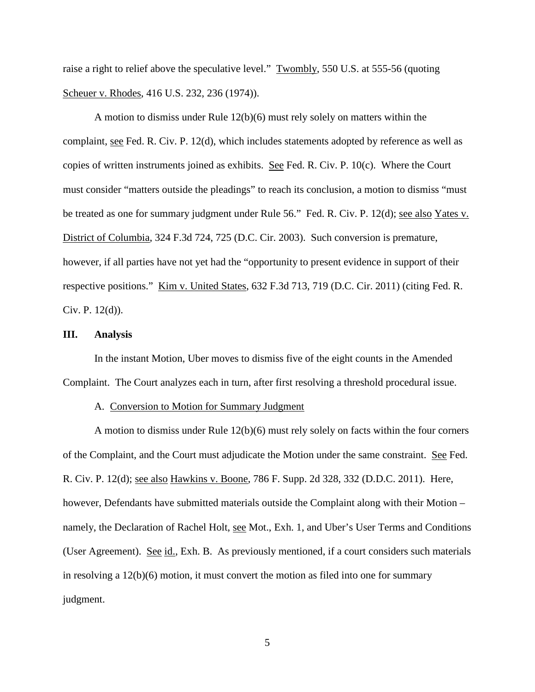raise a right to relief above the speculative level." Twombly, 550 U.S. at 555-56 (quoting Scheuer v. Rhodes, 416 U.S. 232, 236 (1974)).

A motion to dismiss under Rule 12(b)(6) must rely solely on matters within the complaint, see Fed. R. Civ. P. 12(d), which includes statements adopted by reference as well as copies of written instruments joined as exhibits. See Fed. R. Civ. P. 10(c). Where the Court must consider "matters outside the pleadings" to reach its conclusion, a motion to dismiss "must be treated as one for summary judgment under Rule 56." Fed. R. Civ. P. 12(d); see also Yates v. District of Columbia, 324 F.3d 724, 725 (D.C. Cir. 2003). Such conversion is premature, however, if all parties have not yet had the "opportunity to present evidence in support of their respective positions." Kim v. United States, 632 F.3d 713, 719 (D.C. Cir. 2011) (citing Fed. R. Civ. P. 12(d)).

## **III. Analysis**

In the instant Motion, Uber moves to dismiss five of the eight counts in the Amended Complaint. The Court analyzes each in turn, after first resolving a threshold procedural issue.

### A. Conversion to Motion for Summary Judgment

A motion to dismiss under Rule 12(b)(6) must rely solely on facts within the four corners of the Complaint, and the Court must adjudicate the Motion under the same constraint. See Fed. R. Civ. P. 12(d); see also Hawkins v. Boone, 786 F. Supp. 2d 328, 332 (D.D.C. 2011). Here, however, Defendants have submitted materials outside the Complaint along with their Motion – namely, the Declaration of Rachel Holt, see Mot., Exh. 1, and Uber's User Terms and Conditions (User Agreement). See id., Exh. B. As previously mentioned, if a court considers such materials in resolving a 12(b)(6) motion, it must convert the motion as filed into one for summary judgment.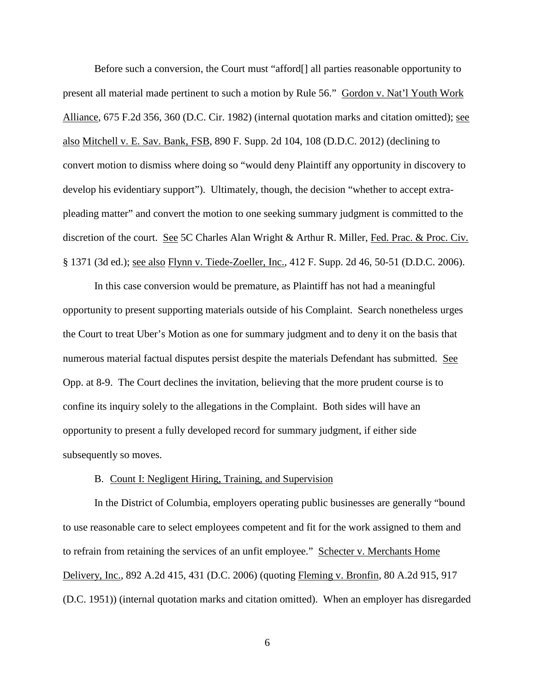Before such a conversion, the Court must "afford[] all parties reasonable opportunity to present all material made pertinent to such a motion by Rule 56." Gordon v. Nat'l Youth Work Alliance, 675 F.2d 356, 360 (D.C. Cir. 1982) (internal quotation marks and citation omitted); see also Mitchell v. E. Sav. Bank, FSB, 890 F. Supp. 2d 104, 108 (D.D.C. 2012) (declining to convert motion to dismiss where doing so "would deny Plaintiff any opportunity in discovery to develop his evidentiary support"). Ultimately, though, the decision "whether to accept extrapleading matter" and convert the motion to one seeking summary judgment is committed to the discretion of the court. See 5C Charles Alan Wright & Arthur R. Miller, Fed. Prac. & Proc. Civ. § 1371 (3d ed.); see also Flynn v. Tiede-Zoeller, Inc., 412 F. Supp. 2d 46, 50-51 (D.D.C. 2006).

In this case conversion would be premature, as Plaintiff has not had a meaningful opportunity to present supporting materials outside of his Complaint. Search nonetheless urges the Court to treat Uber's Motion as one for summary judgment and to deny it on the basis that numerous material factual disputes persist despite the materials Defendant has submitted. See Opp. at 8-9. The Court declines the invitation, believing that the more prudent course is to confine its inquiry solely to the allegations in the Complaint. Both sides will have an opportunity to present a fully developed record for summary judgment, if either side subsequently so moves.

### B. Count I: Negligent Hiring, Training, and Supervision

In the District of Columbia, employers operating public businesses are generally "bound to use reasonable care to select employees competent and fit for the work assigned to them and to refrain from retaining the services of an unfit employee." Schecter v. Merchants Home Delivery, Inc., 892 A.2d 415, 431 (D.C. 2006) (quoting Fleming v. Bronfin, 80 A.2d 915, 917 (D.C. 1951)) (internal quotation marks and citation omitted). When an employer has disregarded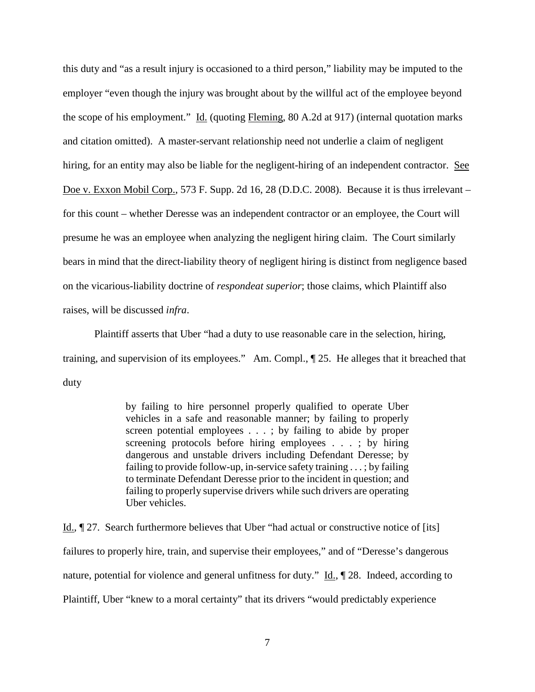this duty and "as a result injury is occasioned to a third person," liability may be imputed to the employer "even though the injury was brought about by the willful act of the employee beyond the scope of his employment." Id. (quoting Fleming, 80 A.2d at 917) (internal quotation marks and citation omitted). A master-servant relationship need not underlie a claim of negligent hiring, for an entity may also be liable for the negligent-hiring of an independent contractor. See Doe v. Exxon Mobil Corp., 573 F. Supp. 2d 16, 28 (D.D.C. 2008). Because it is thus irrelevant – for this count – whether Deresse was an independent contractor or an employee, the Court will presume he was an employee when analyzing the negligent hiring claim. The Court similarly bears in mind that the direct-liability theory of negligent hiring is distinct from negligence based on the vicarious-liability doctrine of *respondeat superior*; those claims, which Plaintiff also raises, will be discussed *infra*.

Plaintiff asserts that Uber "had a duty to use reasonable care in the selection, hiring, training, and supervision of its employees." Am. Compl., ¶ 25. He alleges that it breached that duty

> by failing to hire personnel properly qualified to operate Uber vehicles in a safe and reasonable manner; by failing to properly screen potential employees . . . ; by failing to abide by proper screening protocols before hiring employees . . . ; by hiring dangerous and unstable drivers including Defendant Deresse; by failing to provide follow-up, in-service safety training . . . ; by failing to terminate Defendant Deresse prior to the incident in question; and failing to properly supervise drivers while such drivers are operating Uber vehicles.

Id., ¶ 27. Search furthermore believes that Uber "had actual or constructive notice of [its] failures to properly hire, train, and supervise their employees," and of "Deresse's dangerous nature, potential for violence and general unfitness for duty." Id., ¶ 28. Indeed, according to Plaintiff, Uber "knew to a moral certainty" that its drivers "would predictably experience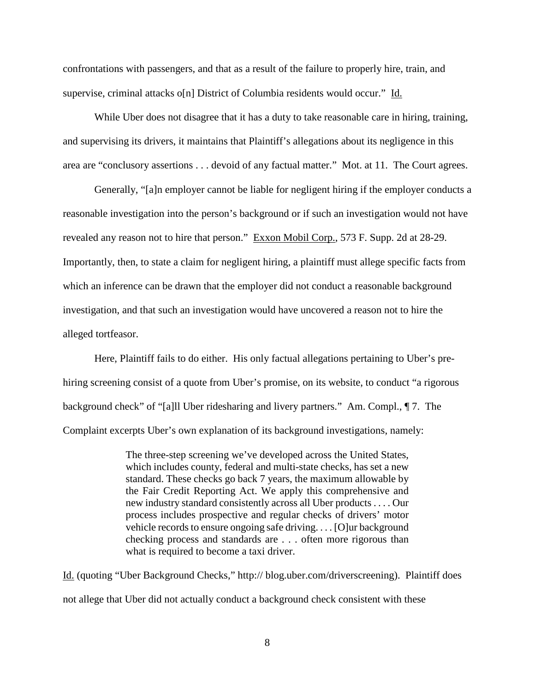confrontations with passengers, and that as a result of the failure to properly hire, train, and supervise, criminal attacks o[n] District of Columbia residents would occur." Id.

While Uber does not disagree that it has a duty to take reasonable care in hiring, training, and supervising its drivers, it maintains that Plaintiff's allegations about its negligence in this area are "conclusory assertions . . . devoid of any factual matter." Mot. at 11. The Court agrees.

Generally, "[a]n employer cannot be liable for negligent hiring if the employer conducts a reasonable investigation into the person's background or if such an investigation would not have revealed any reason not to hire that person." Exxon Mobil Corp., 573 F. Supp. 2d at 28-29. Importantly, then, to state a claim for negligent hiring, a plaintiff must allege specific facts from which an inference can be drawn that the employer did not conduct a reasonable background investigation, and that such an investigation would have uncovered a reason not to hire the alleged tortfeasor.

Here, Plaintiff fails to do either. His only factual allegations pertaining to Uber's prehiring screening consist of a quote from Uber's promise, on its website, to conduct "a rigorous background check" of "[a]ll Uber ridesharing and livery partners." Am. Compl., ¶ 7. The Complaint excerpts Uber's own explanation of its background investigations, namely:

> The three-step screening we've developed across the United States, which includes county, federal and multi-state checks, has set a new standard. These checks go back 7 years, the maximum allowable by the Fair Credit Reporting Act. We apply this comprehensive and new industry standard consistently across all Uber products . . . . Our process includes prospective and regular checks of drivers' motor vehicle records to ensure ongoing safe driving. . . . [O]ur background checking process and standards are . . . often more rigorous than what is required to become a taxi driver.

Id. (quoting "Uber Background Checks," http:// blog.uber.com/driverscreening). Plaintiff does not allege that Uber did not actually conduct a background check consistent with these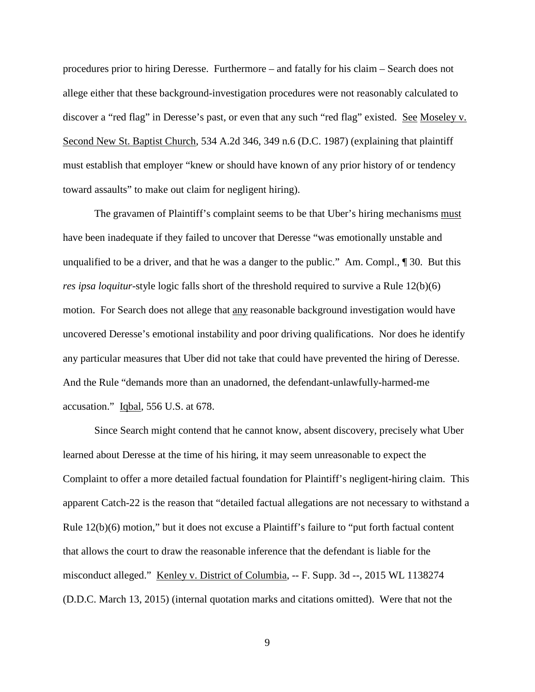procedures prior to hiring Deresse. Furthermore – and fatally for his claim – Search does not allege either that these background-investigation procedures were not reasonably calculated to discover a "red flag" in Deresse's past, or even that any such "red flag" existed. See Moseley v. Second New St. Baptist Church, 534 A.2d 346, 349 n.6 (D.C. 1987) (explaining that plaintiff must establish that employer "knew or should have known of any prior history of or tendency toward assaults" to make out claim for negligent hiring).

The gravamen of Plaintiff's complaint seems to be that Uber's hiring mechanisms must have been inadequate if they failed to uncover that Deresse "was emotionally unstable and unqualified to be a driver, and that he was a danger to the public." Am. Compl., ¶ 30. But this *res ipsa loquitur*-style logic falls short of the threshold required to survive a Rule 12(b)(6) motion. For Search does not allege that any reasonable background investigation would have uncovered Deresse's emotional instability and poor driving qualifications. Nor does he identify any particular measures that Uber did not take that could have prevented the hiring of Deresse. And the Rule "demands more than an unadorned, the defendant-unlawfully-harmed-me accusation." Iqbal, 556 U.S. at 678.

Since Search might contend that he cannot know, absent discovery, precisely what Uber learned about Deresse at the time of his hiring, it may seem unreasonable to expect the Complaint to offer a more detailed factual foundation for Plaintiff's negligent-hiring claim. This apparent Catch-22 is the reason that "detailed factual allegations are not necessary to withstand a Rule 12(b)(6) motion," but it does not excuse a Plaintiff's failure to "put forth factual content that allows the court to draw the reasonable inference that the defendant is liable for the misconduct alleged." <u>Kenley v. District of Columbia</u>, -- F. Supp. 3d --, 2015 WL 1138274 (D.D.C. March 13, 2015) (internal quotation marks and citations omitted). Were that not the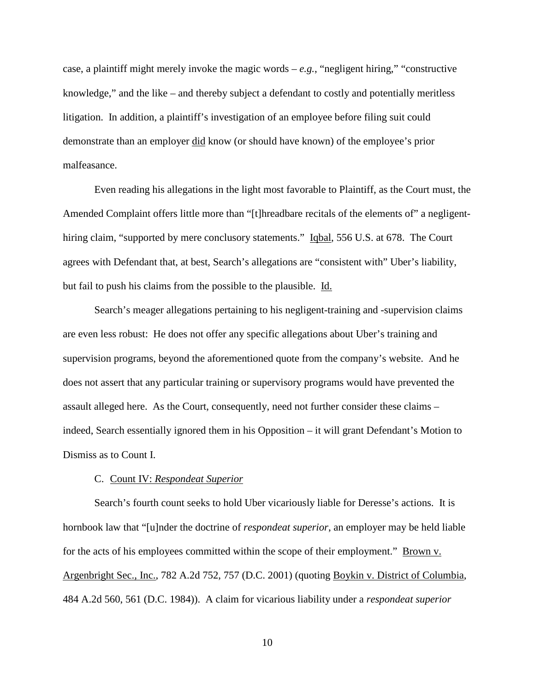case, a plaintiff might merely invoke the magic words  $-e.g.,$  "negligent hiring," "constructive" knowledge," and the like – and thereby subject a defendant to costly and potentially meritless litigation. In addition, a plaintiff's investigation of an employee before filing suit could demonstrate than an employer did know (or should have known) of the employee's prior malfeasance.

Even reading his allegations in the light most favorable to Plaintiff, as the Court must, the Amended Complaint offers little more than "[t]hreadbare recitals of the elements of" a negligenthiring claim, "supported by mere conclusory statements." Igbal, 556 U.S. at 678. The Court agrees with Defendant that, at best, Search's allegations are "consistent with" Uber's liability, but fail to push his claims from the possible to the plausible. Id.

Search's meager allegations pertaining to his negligent-training and -supervision claims are even less robust: He does not offer any specific allegations about Uber's training and supervision programs, beyond the aforementioned quote from the company's website. And he does not assert that any particular training or supervisory programs would have prevented the assault alleged here. As the Court, consequently, need not further consider these claims – indeed, Search essentially ignored them in his Opposition – it will grant Defendant's Motion to Dismiss as to Count I.

# C. Count IV: *Respondeat Superior*

Search's fourth count seeks to hold Uber vicariously liable for Deresse's actions. It is hornbook law that "[u]nder the doctrine of *respondeat superior*, an employer may be held liable for the acts of his employees committed within the scope of their employment." Brown v. Argenbright Sec., Inc., 782 A.2d 752, 757 (D.C. 2001) (quoting Boykin v. District of Columbia, 484 A.2d 560, 561 (D.C. 1984)). A claim for vicarious liability under a *respondeat superior*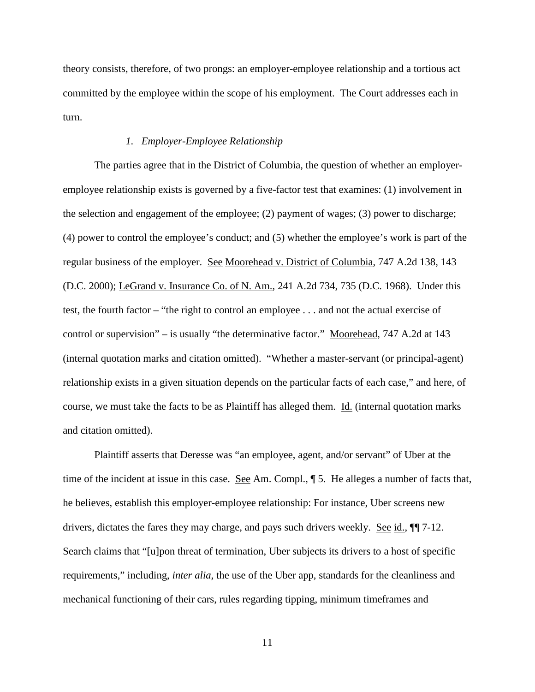theory consists, therefore, of two prongs: an employer-employee relationship and a tortious act committed by the employee within the scope of his employment. The Court addresses each in turn.

## *1. Employer-Employee Relationship*

The parties agree that in the District of Columbia, the question of whether an employeremployee relationship exists is governed by a five-factor test that examines: (1) involvement in the selection and engagement of the employee; (2) payment of wages; (3) power to discharge; (4) power to control the employee's conduct; and (5) whether the employee's work is part of the regular business of the employer. See Moorehead v. District of Columbia, 747 A.2d 138, 143 (D.C. 2000); LeGrand v. Insurance Co. of N. Am., 241 A.2d 734, 735 (D.C. 1968). Under this test, the fourth factor – "the right to control an employee . . . and not the actual exercise of control or supervision" – is usually "the determinative factor." Moorehead, 747 A.2d at 143 (internal quotation marks and citation omitted). "Whether a master-servant (or principal-agent) relationship exists in a given situation depends on the particular facts of each case," and here, of course, we must take the facts to be as Plaintiff has alleged them. Id. (internal quotation marks and citation omitted).

Plaintiff asserts that Deresse was "an employee, agent, and/or servant" of Uber at the time of the incident at issue in this case. <u>See</u> Am. Compl.,  $\oint$  5. He alleges a number of facts that, he believes, establish this employer-employee relationship: For instance, Uber screens new drivers, dictates the fares they may charge, and pays such drivers weekly. See id., ¶¶ 7-12. Search claims that "[u]pon threat of termination, Uber subjects its drivers to a host of specific requirements," including, *inter alia*, the use of the Uber app, standards for the cleanliness and mechanical functioning of their cars, rules regarding tipping, minimum timeframes and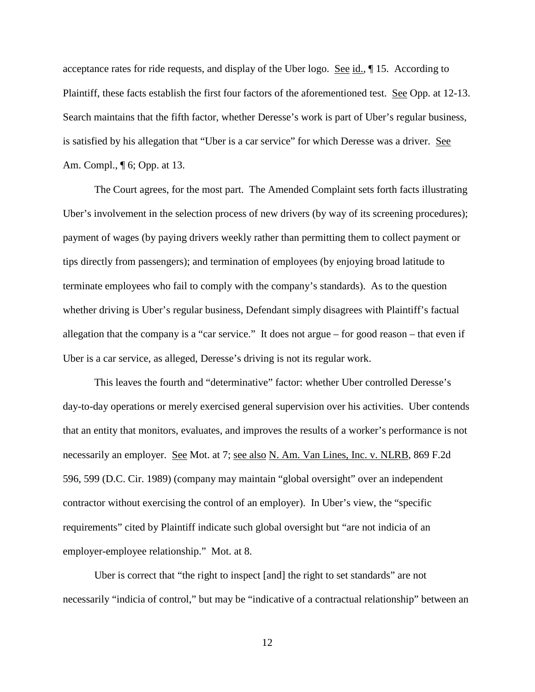acceptance rates for ride requests, and display of the Uber logo. See id., 15. According to Plaintiff, these facts establish the first four factors of the aforementioned test. See Opp. at 12-13. Search maintains that the fifth factor, whether Deresse's work is part of Uber's regular business, is satisfied by his allegation that "Uber is a car service" for which Deresse was a driver. See Am. Compl., ¶ 6; Opp. at 13.

The Court agrees, for the most part. The Amended Complaint sets forth facts illustrating Uber's involvement in the selection process of new drivers (by way of its screening procedures); payment of wages (by paying drivers weekly rather than permitting them to collect payment or tips directly from passengers); and termination of employees (by enjoying broad latitude to terminate employees who fail to comply with the company's standards). As to the question whether driving is Uber's regular business, Defendant simply disagrees with Plaintiff's factual allegation that the company is a "car service." It does not argue – for good reason – that even if Uber is a car service, as alleged, Deresse's driving is not its regular work.

This leaves the fourth and "determinative" factor: whether Uber controlled Deresse's day-to-day operations or merely exercised general supervision over his activities. Uber contends that an entity that monitors, evaluates, and improves the results of a worker's performance is not necessarily an employer. See Mot. at 7; see also N. Am. Van Lines, Inc. v. NLRB, 869 F.2d 596, 599 (D.C. Cir. 1989) (company may maintain "global oversight" over an independent contractor without exercising the control of an employer). In Uber's view, the "specific requirements" cited by Plaintiff indicate such global oversight but "are not indicia of an employer-employee relationship." Mot. at 8.

Uber is correct that "the right to inspect [and] the right to set standards" are not necessarily "indicia of control," but may be "indicative of a contractual relationship" between an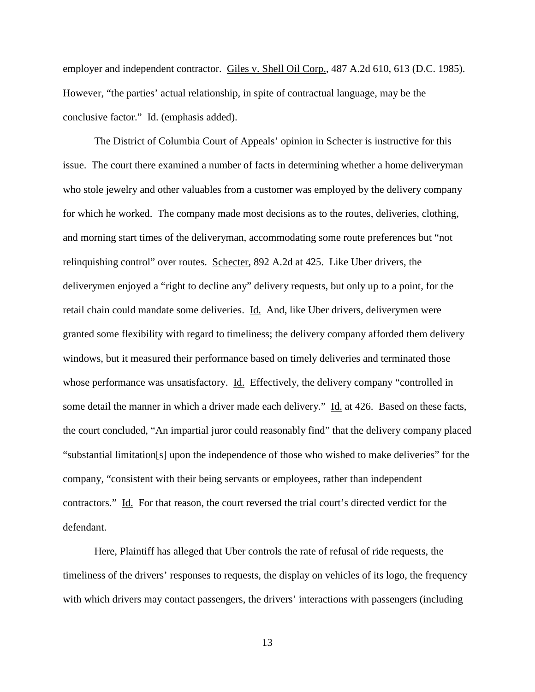employer and independent contractor. Giles v. Shell Oil Corp., 487 A.2d 610, 613 (D.C. 1985). However, "the parties' actual relationship, in spite of contractual language, may be the conclusive factor." Id. (emphasis added).

The District of Columbia Court of Appeals' opinion in Schecter is instructive for this issue. The court there examined a number of facts in determining whether a home deliveryman who stole jewelry and other valuables from a customer was employed by the delivery company for which he worked. The company made most decisions as to the routes, deliveries, clothing, and morning start times of the deliveryman, accommodating some route preferences but "not relinquishing control" over routes. Schecter, 892 A.2d at 425. Like Uber drivers, the deliverymen enjoyed a "right to decline any" delivery requests, but only up to a point, for the retail chain could mandate some deliveries. Id. And, like Uber drivers, deliverymen were granted some flexibility with regard to timeliness; the delivery company afforded them delivery windows, but it measured their performance based on timely deliveries and terminated those whose performance was unsatisfactory. Id. Effectively, the delivery company "controlled in some detail the manner in which a driver made each delivery." Id. at 426. Based on these facts, the court concluded, "An impartial juror could reasonably find" that the delivery company placed "substantial limitation[s] upon the independence of those who wished to make deliveries" for the company, "consistent with their being servants or employees, rather than independent contractors." Id. For that reason, the court reversed the trial court's directed verdict for the defendant.

Here, Plaintiff has alleged that Uber controls the rate of refusal of ride requests, the timeliness of the drivers' responses to requests, the display on vehicles of its logo, the frequency with which drivers may contact passengers, the drivers' interactions with passengers (including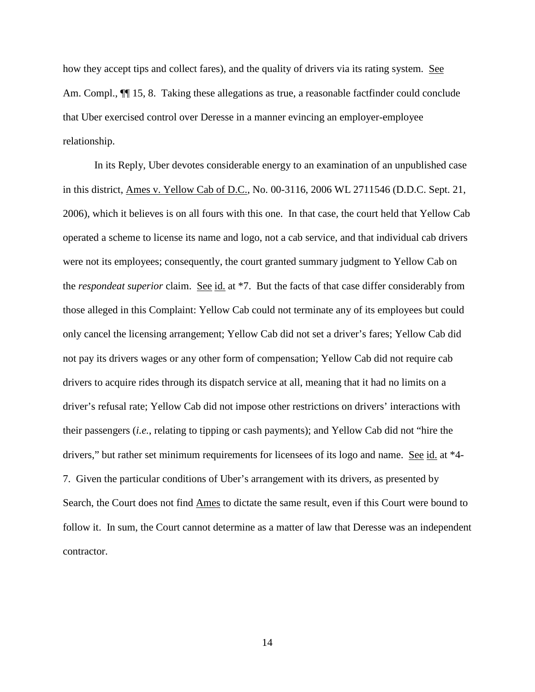how they accept tips and collect fares), and the quality of drivers via its rating system. See Am. Compl.,  $\P$  15, 8. Taking these allegations as true, a reasonable factfinder could conclude that Uber exercised control over Deresse in a manner evincing an employer-employee relationship.

In its Reply, Uber devotes considerable energy to an examination of an unpublished case in this district, Ames v. Yellow Cab of D.C., No. 00-3116, 2006 WL 2711546 (D.D.C. Sept. 21, 2006), which it believes is on all fours with this one. In that case, the court held that Yellow Cab operated a scheme to license its name and logo, not a cab service, and that individual cab drivers were not its employees; consequently, the court granted summary judgment to Yellow Cab on the *respondeat superior* claim. See id. at \*7. But the facts of that case differ considerably from those alleged in this Complaint: Yellow Cab could not terminate any of its employees but could only cancel the licensing arrangement; Yellow Cab did not set a driver's fares; Yellow Cab did not pay its drivers wages or any other form of compensation; Yellow Cab did not require cab drivers to acquire rides through its dispatch service at all, meaning that it had no limits on a driver's refusal rate; Yellow Cab did not impose other restrictions on drivers' interactions with their passengers (*i.e.*, relating to tipping or cash payments); and Yellow Cab did not "hire the drivers," but rather set minimum requirements for licensees of its logo and name. See id. at \*4- 7. Given the particular conditions of Uber's arrangement with its drivers, as presented by Search, the Court does not find Ames to dictate the same result, even if this Court were bound to follow it. In sum, the Court cannot determine as a matter of law that Deresse was an independent contractor.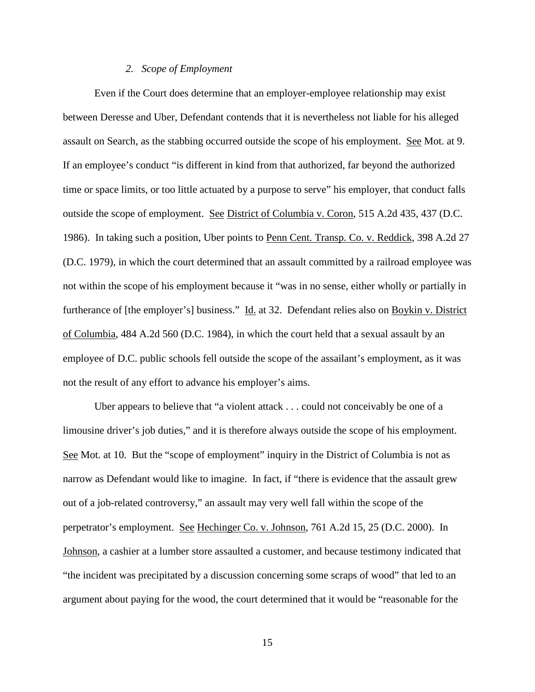#### *2. Scope of Employment*

Even if the Court does determine that an employer-employee relationship may exist between Deresse and Uber, Defendant contends that it is nevertheless not liable for his alleged assault on Search, as the stabbing occurred outside the scope of his employment. See Mot. at 9. If an employee's conduct "is different in kind from that authorized, far beyond the authorized time or space limits, or too little actuated by a purpose to serve" his employer, that conduct falls outside the scope of employment. See District of Columbia v. Coron, 515 A.2d 435, 437 (D.C. 1986). In taking such a position, Uber points to Penn Cent. Transp. Co. v. Reddick, 398 A.2d 27 (D.C. 1979), in which the court determined that an assault committed by a railroad employee was not within the scope of his employment because it "was in no sense, either wholly or partially in furtherance of [the employer's] business." Id. at 32. Defendant relies also on Boykin v. District of Columbia, 484 A.2d 560 (D.C. 1984), in which the court held that a sexual assault by an employee of D.C. public schools fell outside the scope of the assailant's employment, as it was not the result of any effort to advance his employer's aims.

Uber appears to believe that "a violent attack . . . could not conceivably be one of a limousine driver's job duties," and it is therefore always outside the scope of his employment. See Mot. at 10. But the "scope of employment" inquiry in the District of Columbia is not as narrow as Defendant would like to imagine. In fact, if "there is evidence that the assault grew out of a job-related controversy," an assault may very well fall within the scope of the perpetrator's employment. See Hechinger Co. v. Johnson, 761 A.2d 15, 25 (D.C. 2000). In Johnson, a cashier at a lumber store assaulted a customer, and because testimony indicated that "the incident was precipitated by a discussion concerning some scraps of wood" that led to an argument about paying for the wood, the court determined that it would be "reasonable for the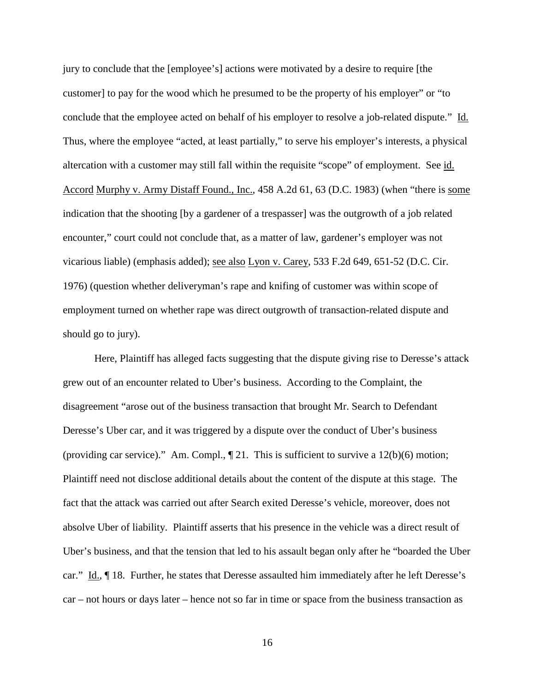jury to conclude that the [employee's] actions were motivated by a desire to require [the customer] to pay for the wood which he presumed to be the property of his employer" or "to conclude that the employee acted on behalf of his employer to resolve a job-related dispute." Id. Thus, where the employee "acted, at least partially," to serve his employer's interests, a physical altercation with a customer may still fall within the requisite "scope" of employment. See id. Accord Murphy v. Army Distaff Found., Inc., 458 A.2d 61, 63 (D.C. 1983) (when "there is some indication that the shooting [by a gardener of a trespasser] was the outgrowth of a job related encounter," court could not conclude that, as a matter of law, gardener's employer was not vicarious liable) (emphasis added); see also Lyon v. Carey, 533 F.2d 649, 651-52 (D.C. Cir. 1976) (question whether deliveryman's rape and knifing of customer was within scope of employment turned on whether rape was direct outgrowth of transaction-related dispute and should go to jury).

Here, Plaintiff has alleged facts suggesting that the dispute giving rise to Deresse's attack grew out of an encounter related to Uber's business. According to the Complaint, the disagreement "arose out of the business transaction that brought Mr. Search to Defendant Deresse's Uber car, and it was triggered by a dispute over the conduct of Uber's business (providing car service)." Am. Compl.,  $\sqrt{\phantom{a}21}$ . This is sufficient to survive a 12(b)(6) motion; Plaintiff need not disclose additional details about the content of the dispute at this stage. The fact that the attack was carried out after Search exited Deresse's vehicle, moreover, does not absolve Uber of liability. Plaintiff asserts that his presence in the vehicle was a direct result of Uber's business, and that the tension that led to his assault began only after he "boarded the Uber car." Id., ¶ 18. Further, he states that Deresse assaulted him immediately after he left Deresse's car – not hours or days later – hence not so far in time or space from the business transaction as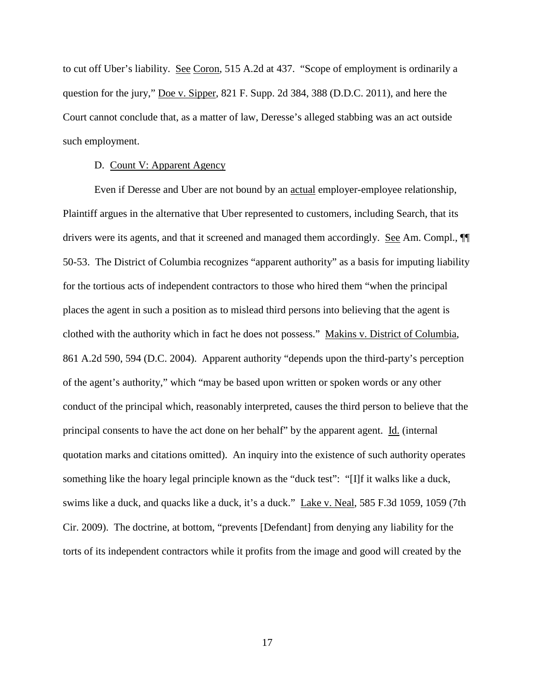to cut off Uber's liability. See Coron, 515 A.2d at 437. "Scope of employment is ordinarily a question for the jury," Doe v. Sipper, 821 F. Supp. 2d 384, 388 (D.D.C. 2011), and here the Court cannot conclude that, as a matter of law, Deresse's alleged stabbing was an act outside such employment.

## D. Count V: Apparent Agency

Even if Deresse and Uber are not bound by an actual employer-employee relationship, Plaintiff argues in the alternative that Uber represented to customers, including Search, that its drivers were its agents, and that it screened and managed them accordingly. See Am. Compl., ¶¶ 50-53. The District of Columbia recognizes "apparent authority" as a basis for imputing liability for the tortious acts of independent contractors to those who hired them "when the principal places the agent in such a position as to mislead third persons into believing that the agent is clothed with the authority which in fact he does not possess." Makins v. District of Columbia, 861 A.2d 590, 594 (D.C. 2004). Apparent authority "depends upon the third-party's perception of the agent's authority," which "may be based upon written or spoken words or any other conduct of the principal which, reasonably interpreted, causes the third person to believe that the principal consents to have the act done on her behalf" by the apparent agent. Id. (internal quotation marks and citations omitted). An inquiry into the existence of such authority operates something like the hoary legal principle known as the "duck test": "[I]f it walks like a duck, swims like a duck, and quacks like a duck, it's a duck." Lake v. Neal, 585 F.3d 1059, 1059 (7th Cir. 2009). The doctrine, at bottom, "prevents [Defendant] from denying any liability for the torts of its independent contractors while it profits from the image and good will created by the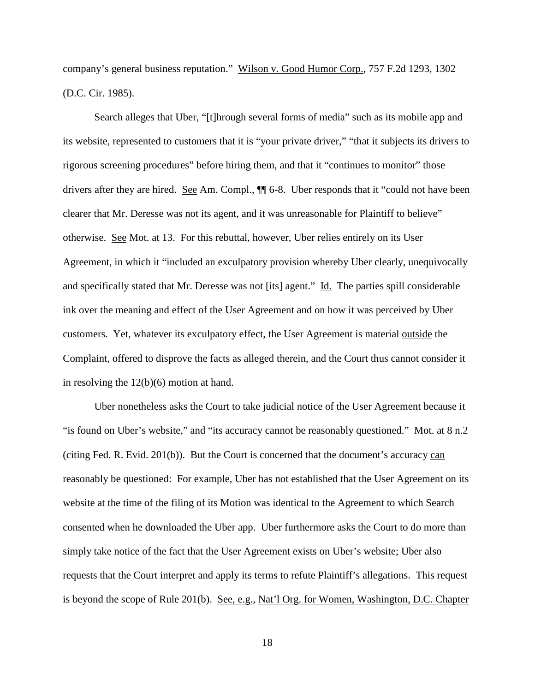company's general business reputation." Wilson v. Good Humor Corp., 757 F.2d 1293, 1302 (D.C. Cir. 1985).

Search alleges that Uber, "[t]hrough several forms of media" such as its mobile app and its website, represented to customers that it is "your private driver," "that it subjects its drivers to rigorous screening procedures" before hiring them, and that it "continues to monitor" those drivers after they are hired. See Am. Compl., ¶¶ 6-8. Uber responds that it "could not have been clearer that Mr. Deresse was not its agent, and it was unreasonable for Plaintiff to believe" otherwise. See Mot. at 13. For this rebuttal, however, Uber relies entirely on its User Agreement, in which it "included an exculpatory provision whereby Uber clearly, unequivocally and specifically stated that Mr. Deresse was not [its] agent." Id. The parties spill considerable ink over the meaning and effect of the User Agreement and on how it was perceived by Uber customers. Yet, whatever its exculpatory effect, the User Agreement is material outside the Complaint, offered to disprove the facts as alleged therein, and the Court thus cannot consider it in resolving the 12(b)(6) motion at hand.

Uber nonetheless asks the Court to take judicial notice of the User Agreement because it "is found on Uber's website," and "its accuracy cannot be reasonably questioned." Mot. at 8 n.2 (citing Fed. R. Evid. 201(b)). But the Court is concerned that the document's accuracy can reasonably be questioned: For example, Uber has not established that the User Agreement on its website at the time of the filing of its Motion was identical to the Agreement to which Search consented when he downloaded the Uber app. Uber furthermore asks the Court to do more than simply take notice of the fact that the User Agreement exists on Uber's website; Uber also requests that the Court interpret and apply its terms to refute Plaintiff's allegations. This request is beyond the scope of Rule 201(b). See, e.g., Nat'l Org. for Women, Washington, D.C. Chapter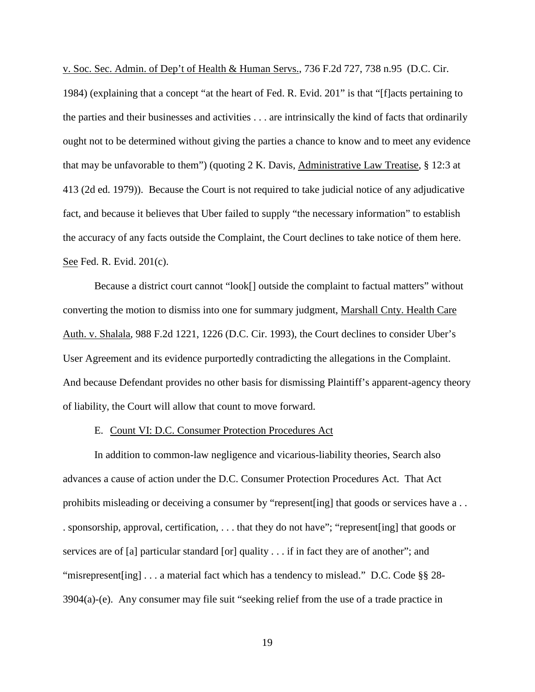v. Soc. Sec. Admin. of Dep't of Health & Human Servs., 736 F.2d 727, 738 n.95 (D.C. Cir.

1984) (explaining that a concept "at the heart of Fed. R. Evid. 201" is that "[f]acts pertaining to the parties and their businesses and activities . . . are intrinsically the kind of facts that ordinarily ought not to be determined without giving the parties a chance to know and to meet any evidence that may be unfavorable to them") (quoting 2 K. Davis, Administrative Law Treatise, § 12:3 at 413 (2d ed. 1979)). Because the Court is not required to take judicial notice of any adjudicative fact, and because it believes that Uber failed to supply "the necessary information" to establish the accuracy of any facts outside the Complaint, the Court declines to take notice of them here. See Fed. R. Evid. 201(c).

Because a district court cannot "look[] outside the complaint to factual matters" without converting the motion to dismiss into one for summary judgment, Marshall Cnty. Health Care Auth. v. Shalala, 988 F.2d 1221, 1226 (D.C. Cir. 1993), the Court declines to consider Uber's User Agreement and its evidence purportedly contradicting the allegations in the Complaint. And because Defendant provides no other basis for dismissing Plaintiff's apparent-agency theory of liability, the Court will allow that count to move forward.

## E. Count VI: D.C. Consumer Protection Procedures Act

In addition to common-law negligence and vicarious-liability theories, Search also advances a cause of action under the D.C. Consumer Protection Procedures Act. That Act prohibits misleading or deceiving a consumer by "represent[ing] that goods or services have a . . . sponsorship, approval, certification, . . . that they do not have"; "represent[ing] that goods or services are of [a] particular standard [or] quality . . . if in fact they are of another"; and "misrepresent [ing] . . . a material fact which has a tendency to mislead." D.C. Code §§ 28-3904(a)-(e). Any consumer may file suit "seeking relief from the use of a trade practice in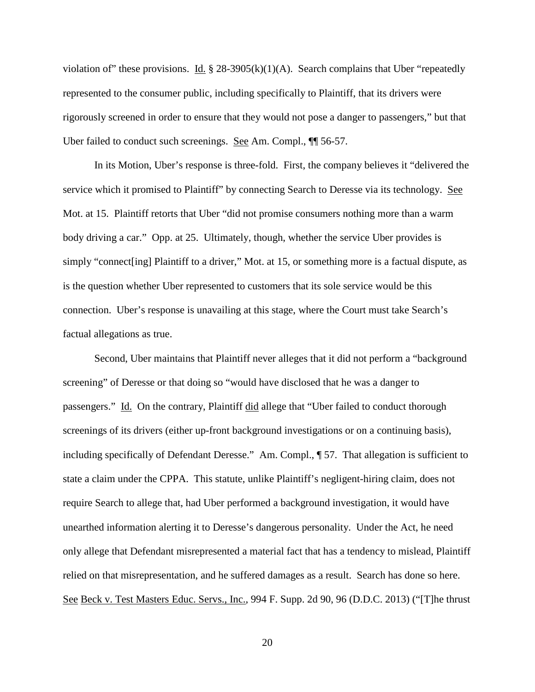violation of" these provisions. Id.  $\S$  28-3905(k)(1)(A). Search complains that Uber "repeatedly represented to the consumer public, including specifically to Plaintiff, that its drivers were rigorously screened in order to ensure that they would not pose a danger to passengers," but that Uber failed to conduct such screenings. See Am. Compl.,  $\P$  56-57.

In its Motion, Uber's response is three-fold. First, the company believes it "delivered the service which it promised to Plaintiff" by connecting Search to Deresse via its technology. See Mot. at 15. Plaintiff retorts that Uber "did not promise consumers nothing more than a warm body driving a car." Opp. at 25. Ultimately, though, whether the service Uber provides is simply "connect[ing] Plaintiff to a driver," Mot. at 15, or something more is a factual dispute, as is the question whether Uber represented to customers that its sole service would be this connection. Uber's response is unavailing at this stage, where the Court must take Search's factual allegations as true.

Second, Uber maintains that Plaintiff never alleges that it did not perform a "background screening" of Deresse or that doing so "would have disclosed that he was a danger to passengers." Id. On the contrary, Plaintiff did allege that "Uber failed to conduct thorough screenings of its drivers (either up-front background investigations or on a continuing basis), including specifically of Defendant Deresse." Am. Compl., ¶ 57. That allegation is sufficient to state a claim under the CPPA. This statute, unlike Plaintiff's negligent-hiring claim, does not require Search to allege that, had Uber performed a background investigation, it would have unearthed information alerting it to Deresse's dangerous personality. Under the Act, he need only allege that Defendant misrepresented a material fact that has a tendency to mislead, Plaintiff relied on that misrepresentation, and he suffered damages as a result. Search has done so here. See Beck v. Test Masters Educ. Servs., Inc., 994 F. Supp. 2d 90, 96 (D.D.C. 2013) ("[T]he thrust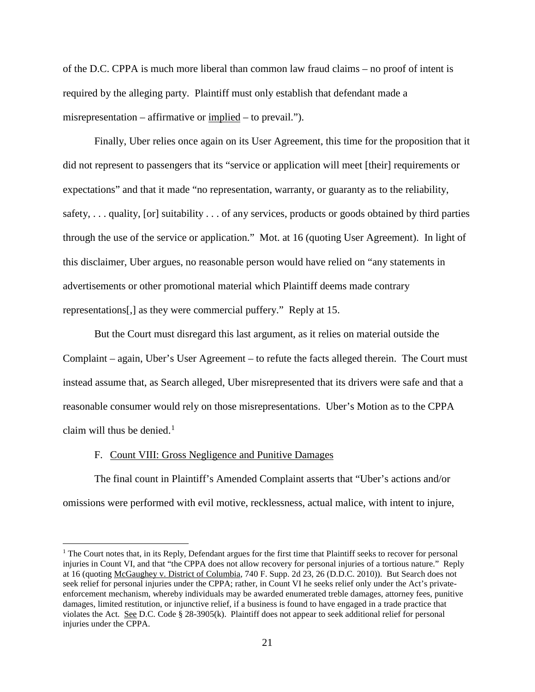of the D.C. CPPA is much more liberal than common law fraud claims – no proof of intent is required by the alleging party. Plaintiff must only establish that defendant made a misrepresentation – affirmative or implied – to prevail.").

Finally, Uber relies once again on its User Agreement, this time for the proposition that it did not represent to passengers that its "service or application will meet [their] requirements or expectations" and that it made "no representation, warranty, or guaranty as to the reliability, safety, . . . quality, [or] suitability . . . of any services, products or goods obtained by third parties through the use of the service or application." Mot. at 16 (quoting User Agreement). In light of this disclaimer, Uber argues, no reasonable person would have relied on "any statements in advertisements or other promotional material which Plaintiff deems made contrary representations[,] as they were commercial puffery." Reply at 15.

But the Court must disregard this last argument, as it relies on material outside the Complaint – again, Uber's User Agreement – to refute the facts alleged therein. The Court must instead assume that, as Search alleged, Uber misrepresented that its drivers were safe and that a reasonable consumer would rely on those misrepresentations. Uber's Motion as to the CPPA claim will thus be denied. [1](#page-20-0)

### F. Count VIII: Gross Negligence and Punitive Damages

The final count in Plaintiff's Amended Complaint asserts that "Uber's actions and/or omissions were performed with evil motive, recklessness, actual malice, with intent to injure,

<span id="page-20-0"></span> $<sup>1</sup>$  The Court notes that, in its Reply, Defendant argues for the first time that Plaintiff seeks to recover for personal</sup> injuries in Count VI, and that "the CPPA does not allow recovery for personal injuries of a tortious nature." Reply at 16 (quoting McGaughey v. District of Columbia, 740 F. Supp. 2d 23, 26 (D.D.C. 2010)). But Search does not seek relief for personal injuries under the CPPA; rather, in Count VI he seeks relief only under the Act's privateenforcement mechanism, whereby individuals may be awarded enumerated treble damages, attorney fees, punitive damages, limited restitution, or injunctive relief, if a business is found to have engaged in a trade practice that violates the Act. See D.C. Code § 28-3905(k). Plaintiff does not appear to seek additional relief for personal injuries under the CPPA.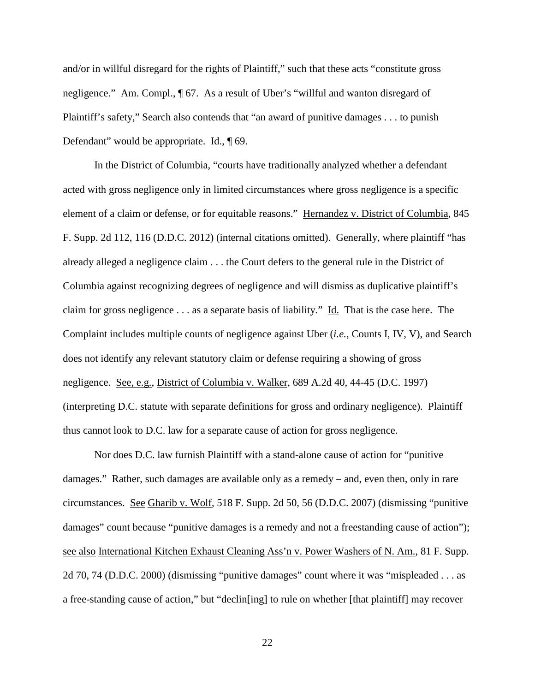and/or in willful disregard for the rights of Plaintiff," such that these acts "constitute gross negligence." Am. Compl., ¶ 67. As a result of Uber's "willful and wanton disregard of Plaintiff's safety," Search also contends that "an award of punitive damages . . . to punish Defendant" would be appropriate. Id., 169.

In the District of Columbia, "courts have traditionally analyzed whether a defendant acted with gross negligence only in limited circumstances where gross negligence is a specific element of a claim or defense, or for equitable reasons." Hernandez v. District of Columbia, 845 F. Supp. 2d 112, 116 (D.D.C. 2012) (internal citations omitted). Generally, where plaintiff "has already alleged a negligence claim . . . the Court defers to the general rule in the District of Columbia against recognizing degrees of negligence and will dismiss as duplicative plaintiff's claim for gross negligence . . . as a separate basis of liability." Id. That is the case here. The Complaint includes multiple counts of negligence against Uber (*i.e.*, Counts I, IV, V), and Search does not identify any relevant statutory claim or defense requiring a showing of gross negligence. See, e.g., District of Columbia v. Walker, 689 A.2d 40, 44-45 (D.C. 1997) (interpreting D.C. statute with separate definitions for gross and ordinary negligence). Plaintiff thus cannot look to D.C. law for a separate cause of action for gross negligence.

Nor does D.C. law furnish Plaintiff with a stand-alone cause of action for "punitive damages." Rather, such damages are available only as a remedy – and, even then, only in rare circumstances. See Gharib v. Wolf, 518 F. Supp. 2d 50, 56 (D.D.C. 2007) (dismissing "punitive damages" count because "punitive damages is a remedy and not a freestanding cause of action"); see also International Kitchen Exhaust Cleaning Ass'n v. Power Washers of N. Am., 81 F. Supp. 2d 70, 74 (D.D.C. 2000) (dismissing "punitive damages" count where it was "mispleaded . . . as a free-standing cause of action," but "declin[ing] to rule on whether [that plaintiff] may recover